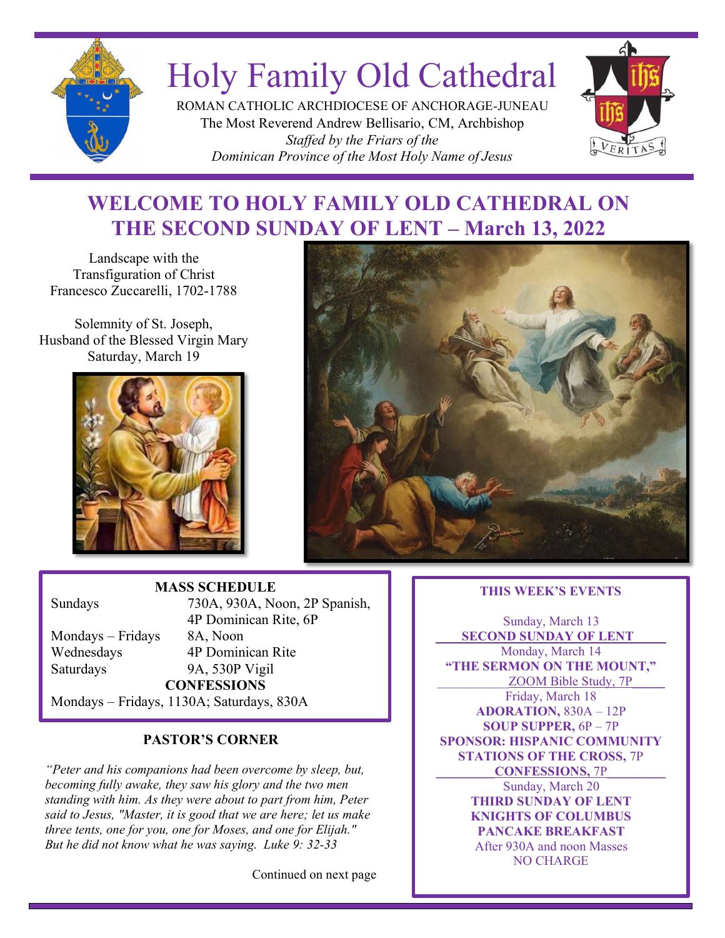

# Holy Family Old Cathedral

ROMAN CATHOLIC ARCHDIOCESE OF ANCHORAGE-JUNEAU The Most Reverend Andrew Bellisario, CM, Archbishop *Staffed by the Friars of the Dominican Province of the Most Holy Name of Jesus*



# **WELCOME TO HOLY FAMILY OLD CATHEDRAL ON THE SECOND SUNDAY OF LENT – March 13, 2022**

Landscape with the Transfiguration of Christ Francesco Zuccarelli, 1702-1788

Solemnity of St. Joseph, Husband of the Blessed Virgin Mary Saturday, March 19





# **MASS SCHEDULE**

Mondays – Fridays 8A, Noon Saturdays 9A, 530P Vigil

Sundays 730A, 930A, Noon, 2P Spanish, 4P Dominican Rite, 6P Wednesdays 4P Dominican Rite **CONFESSIONS**

# *October 24, 2021* Mondays – Fridays, 1130A; Saturdays, 830A

# **PASTOR'S CORNER**

*"Peter and his companions had been overcome by sleep, but, becoming fully awake, they saw his glory and the two men standing with him. As they were about to part from him, Peter said to Jesus, "Master, it is good that we are here; let us make three tents, one for you, one for Moses, and one for Elijah." But he did not know what he was saying. Luke 9: 32-33*

Continued on next page

### **THIS WEEK'S EVENTS**

Sunday, March 13 **SECOND SUNDAY OF LENT** Monday, March 14 **"THE SERMON ON THE MOUNT,"** ZOOM Bible Study, 7P Friday, March 18 **ADORATION,** 830A – 12P **SOUP SUPPER,** 6P – 7P **SPONSOR: HISPANIC COMMUNITY STATIONS OF THE CROSS,** 7P **\_\_\_\_\_\_\_\_\_CONFESSIONS,** 7P\_\_\_\_\_\_\_\_\_ Sunday, March 20 **THIRD SUNDAY OF LENT KNIGHTS OF COLUMBUS PANCAKE BREAKFAST** After 930A and noon Masses NO CHARGE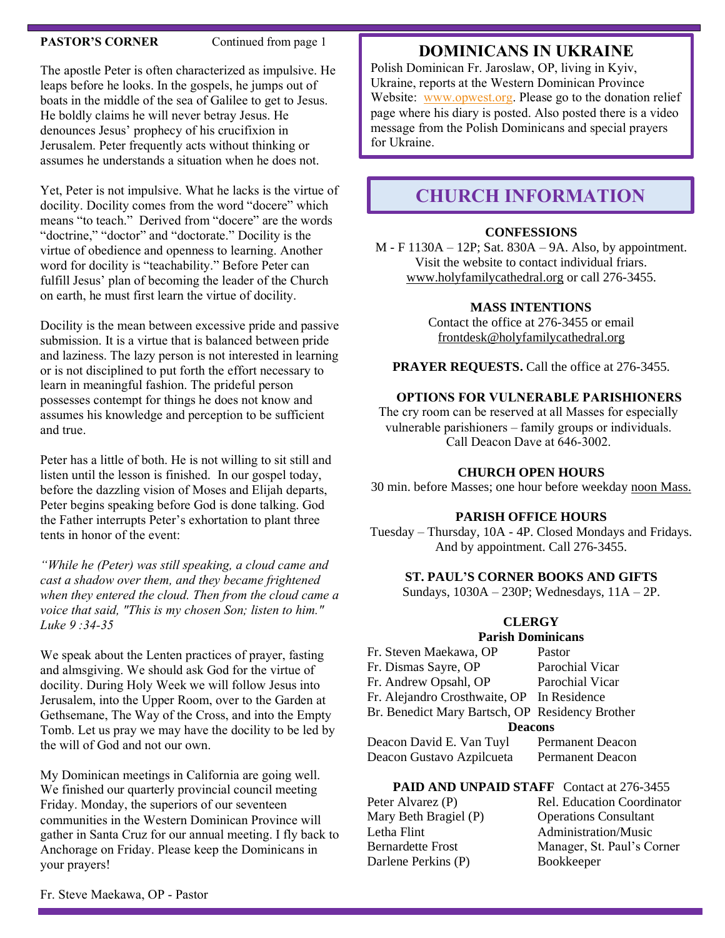### **PASTOR'S CORNER** Continued from page 1

The apostle Peter is often characterized as impulsive. He leaps before he looks. In the gospels, he jumps out of boats in the middle of the sea of Galilee to get to Jesus. He boldly claims he will never betray Jesus. He denounces Jesus' prophecy of his crucifixion in Jerusalem. Peter frequently acts without thinking or assumes he understands a situation when he does not.

Yet, Peter is not impulsive. What he lacks is the virtue of docility. Docility comes from the word "docere" which means "to teach." Derived from "docere" are the words "doctrine," "doctor" and "doctorate." Docility is the virtue of obedience and openness to learning. Another word for docility is "teachability." Before Peter can fulfill Jesus' plan of becoming the leader of the Church on earth, he must first learn the virtue of docility.

Docility is the mean between excessive pride and passive submission. It is a virtue that is balanced between pride and laziness. The lazy person is not interested in learning or is not disciplined to put forth the effort necessary to learn in meaningful fashion. The prideful person possesses contempt for things he does not know and assumes his knowledge and perception to be sufficient and true.

Peter has a little of both. He is not willing to sit still and listen until the lesson is finished. In our gospel today, before the dazzling vision of Moses and Elijah departs, Peter begins speaking before God is done talking. God the Father interrupts Peter's exhortation to plant three tents in honor of the event:

*"While he (Peter) was still speaking, a cloud came and cast a shadow over them, and they became frightened when they entered the cloud. Then from the cloud came a voice that said, "This is my chosen Son; listen to him." Luke 9 :34-35*

We speak about the Lenten practices of prayer, fasting and almsgiving. We should ask God for the virtue of docility. During Holy Week we will follow Jesus into Jerusalem, into the Upper Room, over to the Garden at Gethsemane, The Way of the Cross, and into the Empty Tomb. Let us pray we may have the docility to be led by the will of God and not our own.

My Dominican meetings in California are going well. We finished our quarterly provincial council meeting Friday. Monday, the superiors of our seventeen communities in the Western Dominican Province will gather in Santa Cruz for our annual meeting. I fly back to Anchorage on Friday. Please keep the Dominicans in your prayers!

### **DOMINICANS IN UKRAINE**

Polish Dominican Fr. Jaroslaw, OP, living in Kyiv, Ukraine, reports at the Western Dominican Province Website: [www.opwest.org.](http://www.opwest.org/) Please go to the donation relief page where his diary is posted. Also posted there is a video message from the Polish Dominicans and special prayers for Ukraine.

# **CHURCH INFORMATION**

### **CONFESSIONS**

M - F 1130A – 12P; Sat. 830A – 9A. Also, by appointment. Visit the website to contact individual friars. [www.holyfamilycathedral.org](http://www.holyfamilycathedral.org/) or call 276-3455.

### **MASS INTENTIONS**

Contact the office at 276-3455 or email [frontdesk@holyfamilycathedral.org](mailto:frontdesk@holyfamilycathedral.org)

PRAYER REQUESTS. Call the office at 276-3455.

### **OPTIONS FOR VULNERABLE PARISHIONERS**

The cry room can be reserved at all Masses for especially vulnerable parishioners – family groups or individuals. Call Deacon Dave at 646-3002.

### **CHURCH OPEN HOURS**

30 min. before Masses; one hour before weekday noon Mass.

### **PARISH OFFICE HOURS**

Tuesday – Thursday, 10A - 4P. Closed Mondays and Fridays. And by appointment. Call 276-3455.

### **ST. PAUL'S CORNER BOOKS AND GIFTS**

Sundays, 1030A – 230P; Wednesdays, 11A – 2P.

### **CLERGY**

### **Parish Dominicans**

| Fr. Steven Maekawa, OP                          | Pastor           |  |  |  |
|-------------------------------------------------|------------------|--|--|--|
| Fr. Dismas Sayre, OP                            | Parochial Vicar  |  |  |  |
| Fr. Andrew Opsahl, OP                           | Parochial Vicar  |  |  |  |
| Fr. Alejandro Crosthwaite, OP In Residence      |                  |  |  |  |
| Br. Benedict Mary Bartsch, OP Residency Brother |                  |  |  |  |
| <b>Deacons</b>                                  |                  |  |  |  |
| Deacon David E. Van Tuyl                        | Permanent Deacon |  |  |  |
| Deacon Gustavo Azpilcueta                       | Permanent Deacon |  |  |  |

### PAID AND UNPAID STAFF Contact at 276-3455

Letha Flint **Administration/Music** Darlene Perkins (P) Bookkeeper

Peter Alvarez (P) Rel. Education Coordinator Mary Beth Bragiel (P) Operations Consultant Bernardette Frost Manager, St. Paul's Corner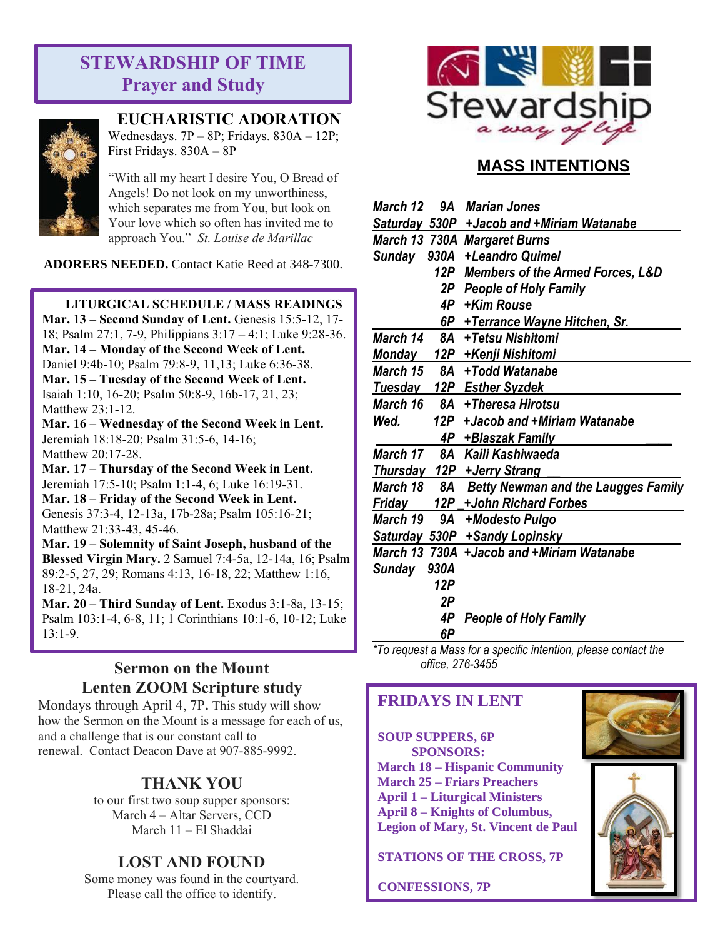# **STEWARDSHIP OF TIME Prayer and Study**



**EUCHARISTIC ADORATION**

Wednesdays. 7P – 8P; Fridays. 830A – 12P; First Fridays. 830A – 8P

"With all my heart I desire You, O Bread of Angels! Do not look on my unworthiness, which separates me from You, but look on Your love which so often has invited me to approach You." *St. Louise de Marillac*

**ADORERS NEEDED.** Contact Katie Reed at 348-7300.

### **LITURGICAL SCHEDULE / MASS READINGS**

**Mar. 13 – Second Sunday of Lent.** Genesis 15:5-12, 17- 18; Psalm 27:1, 7-9, Philippians 3:17 – 4:1; Luke 9:28-36. **Mar. 14 – Monday of the Second Week of Lent.** Daniel 9:4b-10; Psalm 79:8-9, 11,13; Luke 6:36-38. **Mar. 15 – Tuesday of the Second Week of Lent.**  Isaiah 1:10, 16-20; Psalm 50:8-9, 16b-17, 21, 23; Matthew 23:1-12.

**Mar. 16 – Wednesday of the Second Week in Lent.**  Jeremiah 18:18-20; Psalm 31:5-6, 14-16; Matthew 20:17-28.

**Mar. 17 – Thursday of the Second Week in Lent.** Jeremiah 17:5-10; Psalm 1:1-4, 6; Luke 16:19-31. **Mar. 18 – Friday of the Second Week in Lent.**  Genesis 37:3-4, 12-13a, 17b-28a; Psalm 105:16-21; Matthew 21:33-43, 45-46.

**Mar. 19 – Solemnity of Saint Joseph, husband of the Blessed Virgin Mary.** 2 Samuel 7:4-5a, 12-14a, 16; Psalm 89:2-5, 27, 29; Romans 4:13, 16-18, 22; Matthew 1:16, 18-21, 24a.

**Mar. 20 – Third Sunday of Lent.** Exodus 3:1-8a, 13-15; Psalm 103:1-4, 6-8, 11; 1 Corinthians 10:1-6, 10-12; Luke 13:1-9.

# **Sermon on the Mount Lenten ZOOM Scripture study**

Mondays through April 4, 7P**.** This study will show how the Sermon on the Mount is a message for each of us, and a challenge that is our constant call to renewal. Contact Deacon Dave at 907-885-9992.

### **THANK YOU**

to our first two soup supper sponsors: March 4 – Altar Servers, CCD March 11 – El Shaddai

# **LOST AND FOUND**

Some money was found in the courtyard. Please call the office to identify.



# **MASS INTENTIONS**

| March 12        |      | 9A Marian Jones                             |
|-----------------|------|---------------------------------------------|
|                 |      | Saturday 530P + Jacob and + Miriam Watanabe |
|                 |      | March 13 730A Margaret Burns                |
| <b>Sunday</b>   | 930A | +Leandro Quimel                             |
|                 | 12P  | <b>Members of the Armed Forces, L&amp;D</b> |
|                 | 2P . | <b>People of Holy Family</b>                |
|                 | 4P   | +Kim Rouse                                  |
|                 |      | 6P + Terrance Wayne Hitchen, Sr.            |
| <b>March 14</b> | 8A   | +Tetsu Nishitomi                            |
| Monday          |      | 12P + Kenji Nishitomi                       |
| March 15        | 8A   | +Todd Watanabe                              |
| Tuesday         |      | 12P Esther Syzdek                           |
| March 16        | 8A   | +Theresa Hirotsu                            |
| Wed.            | 12P  | +Jacob and +Miriam Watanabe                 |
|                 |      | 4P +Blaszak Family                          |
| March 17        | 8A   | Kaili Kashiwaeda                            |
|                 |      | Thursday 12P + Jerry Strang                 |
| March 18        |      | 8A Betty Newman and the Laugges Family      |
| Friday          | 12P  | +John Richard Forbes                        |
| March 19        | 9A   | +Modesto Pulgo                              |
|                 |      | Saturday 530P +Sandy Lopinsky               |
|                 |      | March 13 730A +Jacob and +Miriam Watanabe   |
| Sunday          | 930A |                                             |
|                 | 12P  |                                             |
|                 | 2P   |                                             |
|                 | 4P   | <b>People of Holy Family</b>                |
|                 | 6P   |                                             |

*\*To request a Mass for a specific intention, please contact the office, 276-3455*

### **FRIDAYS IN LENT**

**SOUP SUPPERS, 6P SPONSORS: March 18 – Hispanic Community March 25 – Friars Preachers April 1 – Liturgical Ministers April 8 – Knights of Columbus, Legion of Mary, St. Vincent de Paul**

**STATIONS OF THE CROSS, 7P**

**CONFESSIONS, 7P**



![](_page_2_Picture_27.jpeg)